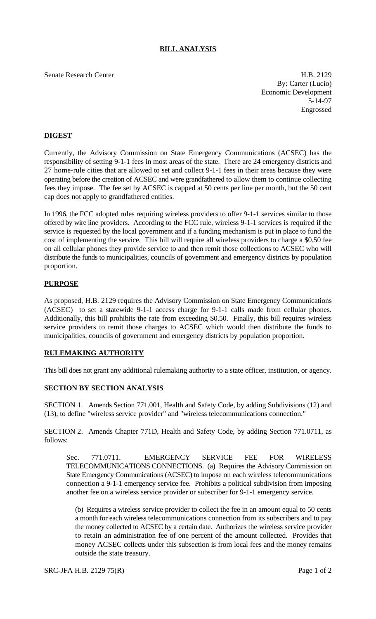# **BILL ANALYSIS**

Senate Research Center **H.B. 2129** 

By: Carter (Lucio) Economic Development 5-14-97 Engrossed

# **DIGEST**

Currently, the Advisory Commission on State Emergency Communications (ACSEC) has the responsibility of setting 9-1-1 fees in most areas of the state. There are 24 emergency districts and 27 home-rule cities that are allowed to set and collect 9-1-1 fees in their areas because they were operating before the creation of ACSEC and were grandfathered to allow them to continue collecting fees they impose. The fee set by ACSEC is capped at 50 cents per line per month, but the 50 cent cap does not apply to grandfathered entities.

In 1996, the FCC adopted rules requiring wireless providers to offer 9-1-1 services similar to those offered by wire line providers. According to the FCC rule, wireless 9-1-1 services is required if the service is requested by the local government and if a funding mechanism is put in place to fund the cost of implementing the service. This bill will require all wireless providers to charge a \$0.50 fee on all cellular phones they provide service to and then remit those collections to ACSEC who will distribute the funds to municipalities, councils of government and emergency districts by population proportion.

### **PURPOSE**

As proposed, H.B. 2129 requires the Advisory Commission on State Emergency Communications (ACSEC) to set a statewide 9-1-1 access charge for 9-1-1 calls made from cellular phones. Additionally, this bill prohibits the rate from exceeding \$0.50. Finally, this bill requires wireless service providers to remit those charges to ACSEC which would then distribute the funds to municipalities, councils of government and emergency districts by population proportion.

#### **RULEMAKING AUTHORITY**

This bill does not grant any additional rulemaking authority to a state officer, institution, or agency.

### **SECTION BY SECTION ANALYSIS**

SECTION 1. Amends Section 771.001, Health and Safety Code, by adding Subdivisions (12) and (13), to define "wireless service provider" and "wireless telecommunications connection."

SECTION 2. Amends Chapter 771D, Health and Safety Code, by adding Section 771.0711, as follows:

Sec. 771.0711. EMERGENCY SERVICE FEE FOR WIRELESS TELECOMMUNICATIONS CONNECTIONS. (a) Requires the Advisory Commission on State Emergency Communications (ACSEC) to impose on each wireless telecommunications connection a 9-1-1 emergency service fee. Prohibits a political subdivision from imposing another fee on a wireless service provider or subscriber for 9-1-1 emergency service.

(b) Requires a wireless service provider to collect the fee in an amount equal to 50 cents a month for each wireless telecommunications connection from its subscribers and to pay the money collected to ACSEC by a certain date. Authorizes the wireless service provider to retain an administration fee of one percent of the amount collected. Provides that money ACSEC collects under this subsection is from local fees and the money remains outside the state treasury.